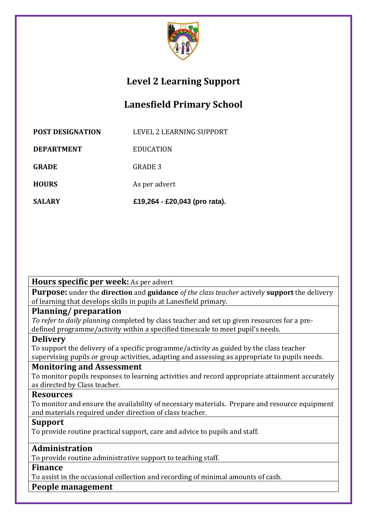

# **Level 2 Learning Support**

# **Lanesfield Primary School**

| <b>POST DESIGNATION</b> | LEVEL 2 LEARNING SUPPORT |
|-------------------------|--------------------------|

**DEPARTMENT** EDUCATION

GRADE **GRADE** 3

**HOURS** As per advert

**SALARY £19,264 - £20,043 (pro rata).**

**Hours specific per week:** As per advert

**Purpose:** under the **direction** and **guidance** *of the class teacher* actively **support** the delivery of learning that develops skills in pupils at Lanesfield primary.

#### **Planning/ preparation**

*To refer to daily planning* completed by class teacher and set up given resources for a predefined programme/activity within a specified timescale to meet pupil's needs.

# **Delivery**

To support the delivery of a specific programme/activity as guided by the class teacher supervising pupils or group activities, adapting and assessing as appropriate to pupils needs.

# **Monitoring and Assessment**

To monitor pupils responses to learning activities and record appropriate attainment accurately as directed by Class teacher.

#### **Resources**

To monitor and ensure the availability of necessary materials. Prepare and resource equipment and materials required under direction of class teacher.

#### **Support**

To provide routine practical support, care and advice to pupils and staff.

# **Administration**

To provide routine administrative support to teaching staff.

#### **Finance**

To assist in the occasional collection and recording of minimal amounts of cash.

#### **People management**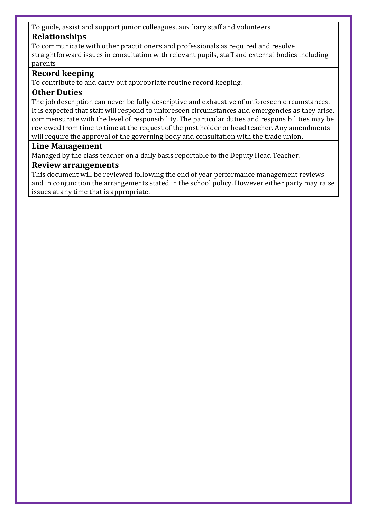#### To guide, assist and support junior colleagues, auxiliary staff and volunteers

### **Relationships**

To communicate with other practitioners and professionals as required and resolve straightforward issues in consultation with relevant pupils, staff and external bodies including parents

### **Record keeping**

To contribute to and carry out appropriate routine record keeping.

#### **Other Duties**

The job description can never be fully descriptive and exhaustive of unforeseen circumstances. It is expected that staff will respond to unforeseen circumstances and emergencies as they arise, commensurate with the level of responsibility. The particular duties and responsibilities may be reviewed from time to time at the request of the post holder or head teacher. Any amendments will require the approval of the governing body and consultation with the trade union.

#### **Line Management**

Managed by the class teacher on a daily basis reportable to the Deputy Head Teacher.

#### **Review arrangements**

This document will be reviewed following the end of year performance management reviews and in conjunction the arrangements stated in the school policy. However either party may raise issues at any time that is appropriate.